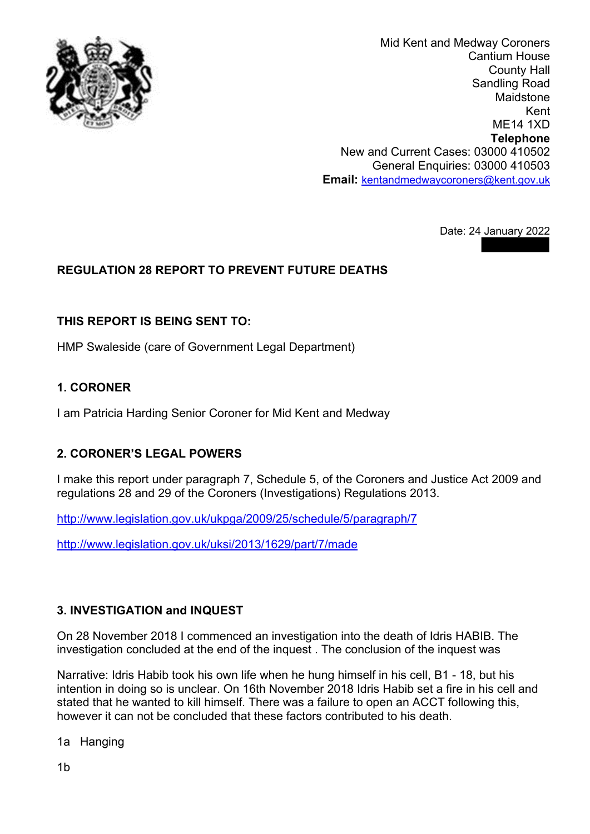

Mid Kent and Medway Coroners Cantium House County Hall Sandling Road Maidstone Kent ME14 1XD **Telephone** New and Current Cases: 03000 410502 General Enquiries: 03000 410503 **Email:** [kentandmedwaycoroners@kent.gov.uk](mailto:)

Date: 24 January 2022

# **REGULATION 28 REPORT TO PREVENT FUTURE DEATHS**

#### **THIS REPORT IS BEING SENT TO:**

HMP Swaleside (care of Government Legal Department)

#### **1. CORONER**

I am Patricia Harding Senior Coroner for Mid Kent and Medway

## **2. CORONER'S LEGAL POWERS**

I make this report under paragraph 7, Schedule 5, of the Coroners and Justice Act 2009 and regulations 28 and 29 of the Coroners (Investigations) Regulations 2013.

<http://www.legislation.gov.uk/ukpga/2009/25/schedule/5/paragraph/7>

<http://www.legislation.gov.uk/uksi/2013/1629/part/7/made>

## **3. INVESTIGATION and INQUEST**

On 28 November 2018 I commenced an investigation into the death of Idris HABIB. The investigation concluded at the end of the inquest . The conclusion of the inquest was

Narrative: Idris Habib took his own life when he hung himself in his cell, B1 - 18, but his intention in doing so is unclear. On 16th November 2018 Idris Habib set a fire in his cell and stated that he wanted to kill himself. There was a failure to open an ACCT following this, however it can not be concluded that these factors contributed to his death.

1a Hanging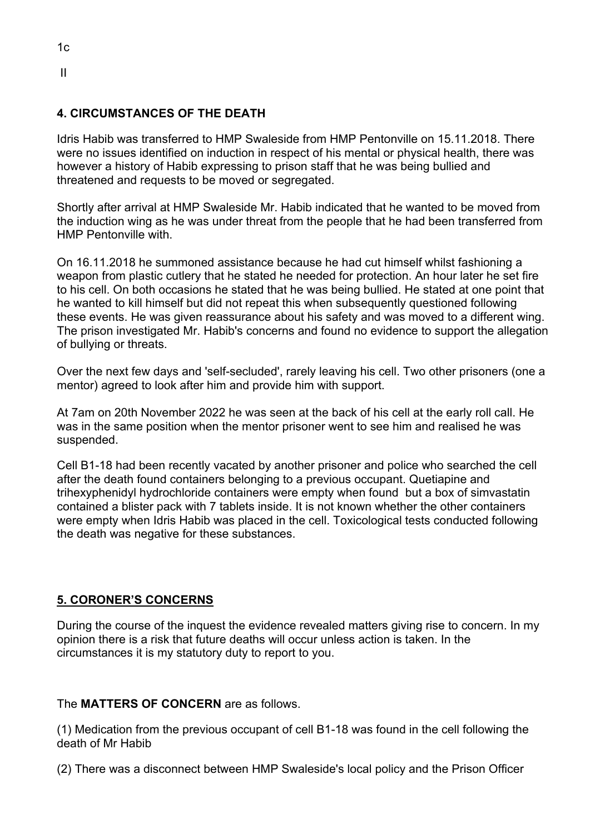# $1c$ II

#### **4. CIRCUMSTANCES OF THE DEATH**

Idris Habib was transferred to HMP Swaleside from HMP Pentonville on 15.11.2018. There were no issues identified on induction in respect of his mental or physical health, there was however a history of Habib expressing to prison staff that he was being bullied and threatened and requests to be moved or segregated.

Shortly after arrival at HMP Swaleside Mr. Habib indicated that he wanted to be moved from the induction wing as he was under threat from the people that he had been transferred from HMP Pentonville with.

On 16.11.2018 he summoned assistance because he had cut himself whilst fashioning a weapon from plastic cutlery that he stated he needed for protection. An hour later he set fire to his cell. On both occasions he stated that he was being bullied. He stated at one point that he wanted to kill himself but did not repeat this when subsequently questioned following these events. He was given reassurance about his safety and was moved to a different wing. The prison investigated Mr. Habib's concerns and found no evidence to support the allegation of bullying or threats.

Over the next few days and 'self-secluded', rarely leaving his cell. Two other prisoners (one a mentor) agreed to look after him and provide him with support.

At 7am on 20th November 2022 he was seen at the back of his cell at the early roll call. He was in the same position when the mentor prisoner went to see him and realised he was suspended.

Cell B1-18 had been recently vacated by another prisoner and police who searched the cell after the death found containers belonging to a previous occupant. Quetiapine and trihexyphenidyl hydrochloride containers were empty when found but a box of simvastatin contained a blister pack with 7 tablets inside. It is not known whether the other containers were empty when Idris Habib was placed in the cell. Toxicological tests conducted following the death was negative for these substances.

#### **5. CORONER'S CONCERNS**

During the course of the inquest the evidence revealed matters giving rise to concern. In my opinion there is a risk that future deaths will occur unless action is taken. In the circumstances it is my statutory duty to report to you.

#### The **MATTERS OF CONCERN** are as follows.

(1) Medication from the previous occupant of cell B1-18 was found in the cell following the death of Mr Habib

(2) There was a disconnect between HMP Swaleside's local policy and the Prison Officer